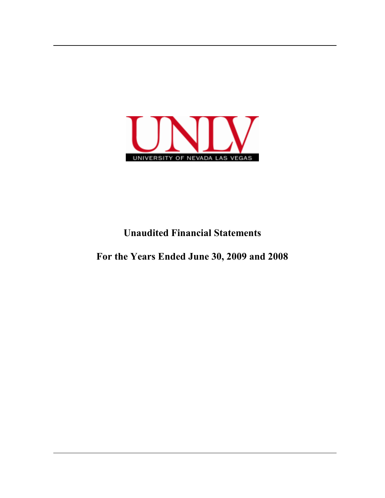

# **Unaudited Financial Statements**

## **For the Years Ended June 30, 2009 and 2008**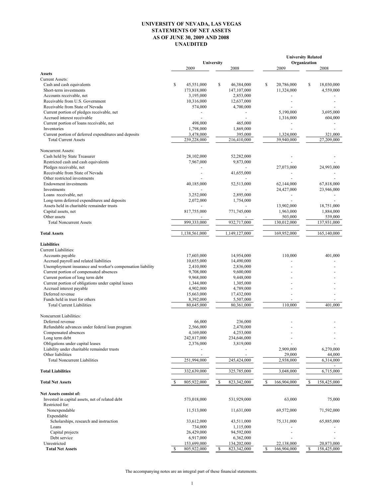### **UNIVERSITY OF NEVADA, LAS VEGAS STATEMENTS OF NET ASSETS AS OF JUNE 30, 2009 AND 2008 UNAUDITED**

|                                                                         |                  |                              | <b>University Related</b>             |                             |
|-------------------------------------------------------------------------|------------------|------------------------------|---------------------------------------|-----------------------------|
|                                                                         | 2009             | University<br>2008           | 2009                                  | Organization<br>2008        |
| <b>Assets</b>                                                           |                  |                              |                                       |                             |
| <b>Current Assets:</b>                                                  |                  |                              |                                       |                             |
| Cash and cash equivalents                                               | \$<br>45,551,000 | \$<br>46,384,000             | \$<br>20,786,000                      | \$<br>18,030,000            |
| Short-term investments                                                  | 173,818,000      | 147,107,000                  | 11,324,000                            | 4,559,000                   |
| Accounts receivable, net                                                | 3,195,000        | 2,853,000                    |                                       |                             |
| Receivable from U.S. Government                                         | 10,316,000       | 12,637,000                   |                                       |                             |
| Receivable from State of Nevada                                         | 574,000          | 4,700,000                    |                                       |                             |
| Current portion of pledges receivable, net                              |                  |                              | 5,190,000                             | 3,695,000                   |
| Accrued interest receivable<br>Current portion of loans receivable, net | 498,000          | 465,000                      | 1,316,000<br>$\overline{\phantom{a}}$ | 604,000                     |
| Inventories                                                             | 1,798,000        | 1,869,000                    |                                       |                             |
| Current portion of deferred expenditures and deposits                   | 3,478,000        | 395,000                      | 1,324,000                             | 321,000                     |
| <b>Total Current Assets</b>                                             | 239,228,000      | 216,410,000                  | 39,940,000                            | 27,209,000                  |
| Noncurrent Assets:                                                      |                  |                              |                                       |                             |
| Cash held by State Treasurer                                            | 28,102,000       | 52,282,000                   |                                       |                             |
| Restricted cash and cash equivalents                                    | 7,967,000        | 9,873,000                    |                                       |                             |
| Pledges receivable, net                                                 |                  |                              | 27,073,000                            | 24,993,000                  |
| Receivable from State of Nevada                                         |                  | 41,655,000                   |                                       |                             |
| Other restricted investments                                            |                  |                              |                                       |                             |
| <b>Endowment</b> investments                                            | 40,185,000       | 52,513,000                   | 62,144,000                            | 67,818,000                  |
| Investments                                                             |                  |                              | 24,427,000                            | 23,946,000                  |
| Loans receivable, net                                                   | 3,252,000        | 2,895,000                    |                                       |                             |
| Long-term deferred expenditures and deposits                            | 2,072,000        | 1,754,000                    |                                       |                             |
| Assets held in charitable remainder trusts                              |                  |                              | 13,902,000                            | 18,751,000                  |
| Capital assets, net                                                     | 817,755,000      | 771,745,000                  | 1,963,000                             | 1,884,000                   |
| Other assets                                                            |                  |                              | 503,000                               | 539,000                     |
| <b>Total Noncurrent Assets</b>                                          | 899,333,000      | 932,717,000                  | 130,012,000                           | 137,931,000                 |
| <b>Total Assets</b>                                                     | 1,138,561,000    | 1,149,127,000                | 169,952,000                           | 165,140,000                 |
| <b>Liabilities</b>                                                      |                  |                              |                                       |                             |
| Current Liabilities:                                                    |                  |                              |                                       |                             |
| Accounts payable                                                        | 17,603,000       | 14,954,000                   | 110,000                               | 401,000                     |
| Accrued payroll and related liabilities                                 | 10,655,000       | 14,490,000                   |                                       |                             |
| Unemployment insurance and worker's compensation liability              | 2,410,000        | 2,836,000                    |                                       |                             |
| Current portion of compensated absences                                 | 9,708,000        | 9,600,000                    |                                       |                             |
| Current portion of long term debt                                       | 9,968,000        | 9,448,000                    |                                       |                             |
| Current portion of obligations under capital leases                     | 1,344,000        | 1,305,000                    |                                       |                             |
| Accrued interest payable                                                | 4,902,000        | 4,789,000                    |                                       |                             |
| Deferred revenue                                                        | 15,663,000       | 17,432,000                   |                                       |                             |
| Funds held in trust for others                                          | 8,392,000        | 5,507,000                    |                                       |                             |
| <b>Total Current Liabilities</b>                                        | 80,645,000       | 80,361,000                   | 110,000                               | 401.000                     |
| Noncurrent Liabilities:                                                 |                  |                              |                                       |                             |
| Deferred revenue                                                        | 66,000           | 236,000                      |                                       |                             |
| Refundable advances under federal loan program                          | 2,566,000        | 2,470,000                    |                                       |                             |
| Compensated absences                                                    | 4,169,000        | 4,253,000                    |                                       |                             |
| Long term debt                                                          | 242,817,000      | 234,646,000                  |                                       |                             |
| Obligations under capital leases                                        | 2,376,000        | 3,819,000                    |                                       |                             |
| Liability under charitable remainder trusts                             |                  |                              | 2,909,000                             | 6,270,000                   |
| Other liabilities<br><b>Total Noncurrent Liabilities</b>                | 251,994,000      | 245,424,000                  | 29,000<br>2,938,000                   | 44,000<br>6,314,000         |
| <b>Total Liabilities</b>                                                | 332,639,000      | 325,785,000                  | 3,048,000                             | 6,715,000                   |
|                                                                         |                  |                              |                                       |                             |
| <b>Total Net Assets</b>                                                 | 805,922,000      | \$<br>823,342,000            | 166,904,000<br>S                      | $\mathbb{S}$<br>158,425,000 |
| Net Assets consist of:                                                  |                  |                              |                                       |                             |
| Invested in capital assets, net of related debt                         | 573,018,000      | 531,929,000                  | 63,000                                | 75,000                      |
| Restricted for:                                                         |                  |                              |                                       |                             |
| Nonexpendable                                                           | 11,513,000       | 11,631,000                   | 69,572,000                            | 71,592,000                  |
| Expendable                                                              |                  |                              |                                       |                             |
| Scholarships, research and instruction                                  | 33,612,000       | 43,511,000                   | 75,131,000                            | 65,885,000                  |
| Loans                                                                   | 734,000          | 1,115,000                    |                                       |                             |
| Capital projects                                                        | 26,429,000       | 94,592,000                   |                                       |                             |
| Debt service                                                            | 6,917,000        | 6,362,000                    |                                       |                             |
| Unrestricted                                                            | 153,699,000      | 134,202,000                  | 22,138,000                            | 20,873,000                  |
| <b>Total Net Assets</b>                                                 | 805,922,000<br>S | <sup>\$</sup><br>823,342,000 | 166,904,000<br>\$                     | S<br>158,425,000            |

The accompanying notes are an integral part of these financial statements.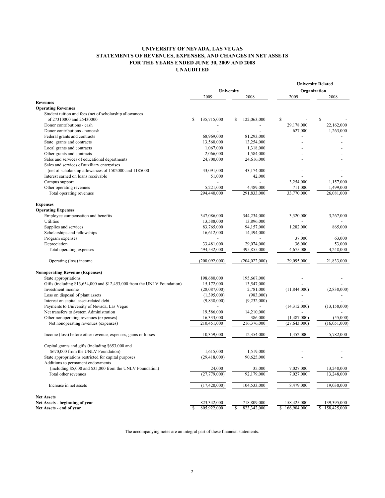### **UNIVERSITY OF NEVADA, LAS VEGAS STATEMENTS OF REVENUES, EXPENSES, AND CHANGES IN NET ASSETS FOR THE YEARS ENDED JUNE 30, 2009 AND 2008 UNAUDITED**

|                                                                          |                            |                              | <b>University Related</b> |                   |
|--------------------------------------------------------------------------|----------------------------|------------------------------|---------------------------|-------------------|
|                                                                          | University                 |                              | Organization              |                   |
|                                                                          | 2009                       | 2008                         | 2009                      | 2008              |
| <b>Revenues</b>                                                          |                            |                              |                           |                   |
| <b>Operating Revenues</b>                                                |                            |                              |                           |                   |
| Student tuition and fees (net of scholarship allowances                  |                            |                              |                           |                   |
| of 27310000 and 25430000                                                 | 135,715,000<br>\$          | 122,063,000<br>\$            | \$                        | \$                |
| Donor contributions - cash                                               |                            |                              | 29,178,000                | 22,162,000        |
| Donor contributions - noncash                                            |                            |                              | 627,000                   | 1,263,000         |
| Federal grants and contracts                                             | 68,969,000                 | 81,293,000                   |                           |                   |
| State grants and contracts                                               | 13,560,000                 | 13,254,000                   |                           |                   |
| Local grants and contracts                                               | 1,067,000                  | 1,318,000                    |                           |                   |
| Other grants and contracts                                               | 2,066,000                  | 1,584,000                    |                           |                   |
| Sales and services of educational departments                            | 24,700,000                 | 24,616,000                   |                           |                   |
| Sales and services of auxiliary enterprises                              |                            |                              |                           |                   |
| (net of scholarship allowances of 1502000 and 1185000                    | 43,091,000                 | 43,174,000                   |                           |                   |
| Interest earned on loans receivable                                      | 51,000                     | 42,000                       |                           |                   |
| Campus support                                                           |                            | $\overline{a}$               | 3,254,000                 | 1,157,000         |
| Other operating revenues                                                 | 5,221,000                  | 4,489,000                    | 711,000                   | 1,499,000         |
| Total operating revenues                                                 | 294,440,000                | 291,833,000                  | 33,770,000                | 26,081,000        |
|                                                                          |                            |                              |                           |                   |
| <b>Expenses</b>                                                          |                            |                              |                           |                   |
| <b>Operating Expenses</b>                                                |                            |                              |                           |                   |
| Employee compensation and benefits                                       | 347,086,000                | 344,234,000                  | 3,320,000                 | 3,267,000         |
| Utilities                                                                | 13,588,000                 | 13,896,000                   |                           |                   |
| Supplies and services                                                    | 83,765,000                 | 94,157,000                   | 1,282,000                 | 865,000           |
| Scholarships and fellowships                                             | 16,612,000                 | 14,494,000                   |                           |                   |
| Program expenses                                                         |                            |                              | 37,000                    | 63,000            |
| Depreciation                                                             | 33,481,000                 | 29,074,000                   | 36,000                    | 53,000            |
| Total operating expenses                                                 | 494,532,000                | 495,855,000                  | 4,675,000                 | 4,248,000         |
|                                                                          |                            |                              |                           |                   |
| Operating (loss) income                                                  | (200,092,000)              | (204, 022, 000)              | 29,095,000                | 21,833,000        |
|                                                                          |                            |                              |                           |                   |
| <b>Nonoperating Revenue (Expenses)</b>                                   |                            |                              |                           |                   |
| State appropriations                                                     | 198,680,000                | 195,667,000                  |                           |                   |
| Gifts (including \$13,654,000 and \$12,453,000 from the UNLV Foundation) | 15,172,000                 | 13,547,000                   |                           |                   |
| Investment income                                                        | (28,087,000)               | 2,781,000                    | (11, 844, 000)            | (2,838,000)       |
| Loss on disposal of plant assets                                         | (1,395,000)                | (983,000)                    |                           |                   |
| Interest on capital asset-related debt                                   | (9,838,000)                | (9, 232, 000)                |                           |                   |
| Payments to University of Nevada, Las Vegas                              |                            |                              | (14,312,000)              | (13, 158, 000)    |
| Net transfers to System Administration                                   | 19,586,000                 | 14,210,000                   |                           |                   |
| Other nonoperating revenues (expenses)                                   | 16,333,000                 | 386,000                      | (1,487,000)               | (55,000)          |
| Net nonoperating revenues (expenses)                                     | 210,451,000                | 216,376,000                  | (27, 643, 000)            | (16,051,000)      |
|                                                                          |                            |                              |                           |                   |
| Income (loss) before other revenue, expenses, gains or losses            | 10,359,000                 | 12,354,000                   | 1,452,000                 | 5,782,000         |
|                                                                          |                            |                              |                           |                   |
| Capital grants and gifts (including \$653,000 and                        |                            |                              |                           |                   |
| \$670,000 from the UNLV Foundation)                                      | 1,615,000                  | 1,519,000                    |                           |                   |
| State appropriations restricted for capital purposes                     | (29, 418, 000)             | 90,625,000                   |                           |                   |
| Additions to permanent endowments                                        |                            |                              |                           |                   |
| (including \$5,000 and \$35,000 from the UNLV Foundation)                | 24,000                     | 35,000                       | 7,027,000                 | 13,248,000        |
| Total other revenues                                                     | (27,779,000)               | 92,179,000                   | 7,027,000                 | 13,248,000        |
| Increase in net assets                                                   | (17, 420, 000)             | 104,533,000                  | 8,479,000                 | 19,030,000        |
|                                                                          |                            |                              |                           |                   |
| <b>Net Assets</b>                                                        |                            |                              |                           |                   |
| Net Assets - beginning of year                                           | 823,342,000<br>805,922,000 | 718,809,000                  | 158,425,000               | 139,395,000       |
| Net Assets - end of year                                                 | -S                         | 823,342,000<br><sup>\$</sup> | 166,904,000<br>\$         | 158,425,000<br>\$ |

The accompanying notes are an integral part of these financial statements.